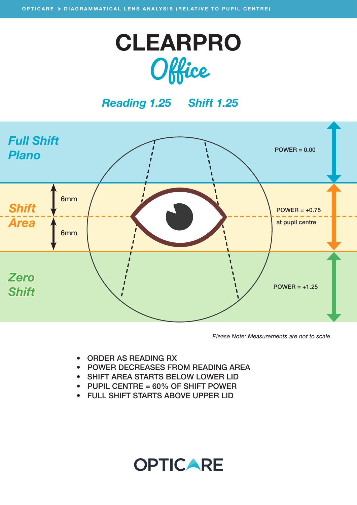

### *Reading 1.25 Shift 1.25*



*Please Note: Measurements are not to scale*

- ORDER AS READING RX
- POWER DECREASES FROM READING AREA

**OPTICARE** 

- SHIFT AREA STARTS BELOW LOWER LID
- PUPIL CENTRE = 60% OF SHIFT POWER
- FULL SHIFT STARTS ABOVE UPPER LID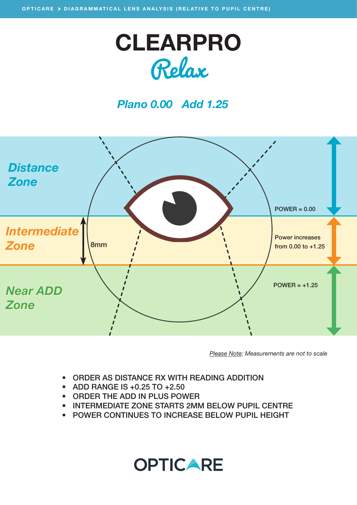

### *Plano 0.00 Add 1.25*



*Please Note: Measurements are not to scale*

- ORDER AS DISTANCE RX WITH READING ADDITION
- ADD RANGE IS +0.25 TO +2.50
- ORDER THE ADD IN PLUS POWER
- INTERMEDIATE ZONE STARTS 2MM BELOW PUPIL CENTRE
- POWER CONTINUES TO INCREASE BELOW PUPIL HEIGHT

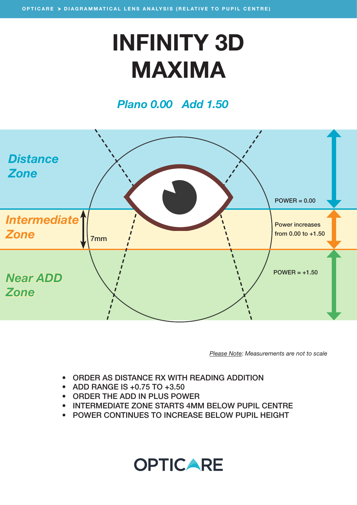## INFINITY 3D MAXIMA

#### *Plano 0.00 Add 1.50*



*Please Note: Measurements are not to scale*

- ORDER AS DISTANCE RX WITH READING ADDITION
- ADD RANGE IS +0.75 TO +3.50
- ORDER THE ADD IN PLUS POWER
- INTERMEDIATE ZONE STARTS 4MM BELOW PUPIL CENTRE
- POWER CONTINUES TO INCREASE BELOW PUPIL HEIGHT

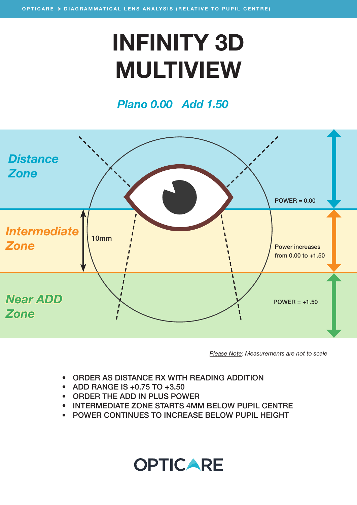# INFINITY 3D MULTIVIEW

### *Plano 0.00 Add 1.50*



*Please Note: Measurements are not to scale*

- ORDER AS DISTANCE RX WITH READING ADDITION
- ADD RANGE IS +0.75 TO +3.50
- ORDER THE ADD IN PLUS POWER
- INTERMEDIATE ZONE STARTS 4MM BELOW PUPIL CENTRE
- POWER CONTINUES TO INCREASE BELOW PUPIL HEIGHT

### **OPTICARE**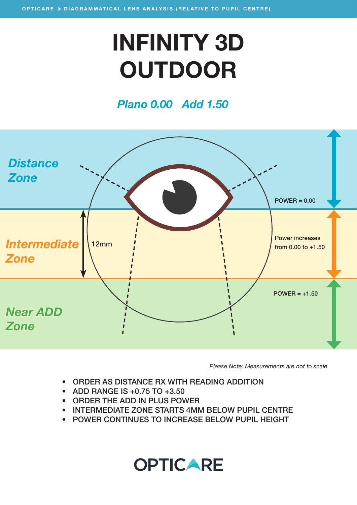# INFINITY 3D **OUTDOOR**

### *Plano 0.00 Add 1.50*



*Please Note: Measurements are not to scale*

- ORDER AS DISTANCE RX WITH READING ADDITION
- ADD RANGE IS +0.75 TO +3.50
- ORDER THE ADD IN PLUS POWER
- INTERMEDIATE ZONE STARTS 4MM BELOW PUPIL CENTRE
- POWER CONTINUES TO INCREASE BELOW PUPIL HEIGHT